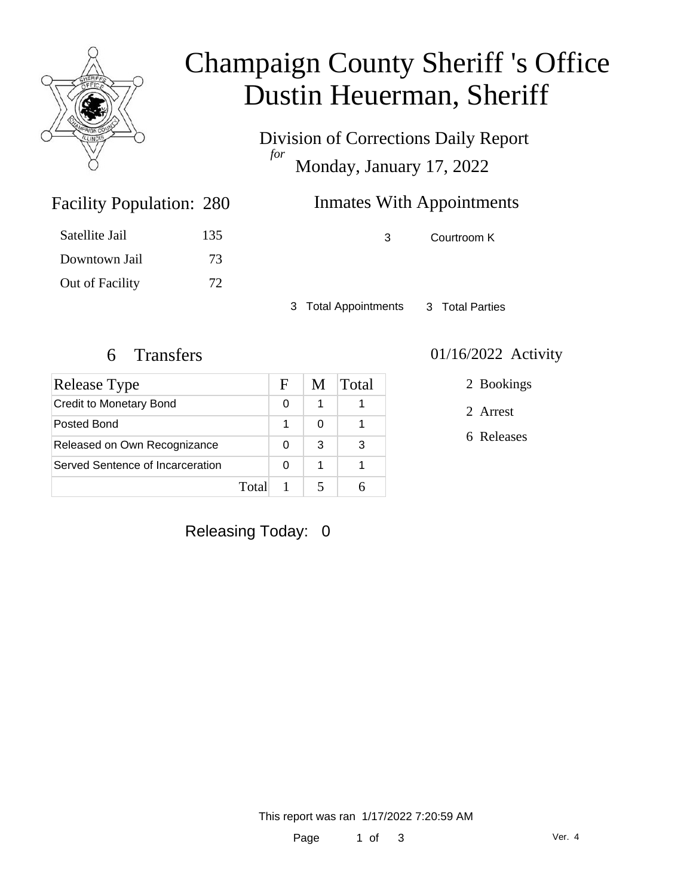

# Champaign County Sheriff 's Office Dustin Heuerman, Sheriff

Division of Corrections Daily Report *for* Monday, January 17, 2022

## Inmates With Appointments

3 Courtroom K

3 Total Appointments 3 Total Parties

Facility Population: 280

Satellite Jail 135

Downtown Jail 73

Out of Facility 72

| <b>Release Type</b>              |       | F | M | Total |
|----------------------------------|-------|---|---|-------|
| <b>Credit to Monetary Bond</b>   |       | 0 | 1 |       |
| Posted Bond                      |       |   | ∩ |       |
| Released on Own Recognizance     |       | 0 | 3 | 3     |
| Served Sentence of Incarceration |       | O | 1 |       |
|                                  | Total |   |   |       |

### 6 Transfers 01/16/2022 Activity

2 Bookings

2 Arrest

6 Releases

### Releasing Today: 0

This report was ran 1/17/2022 7:20:59 AM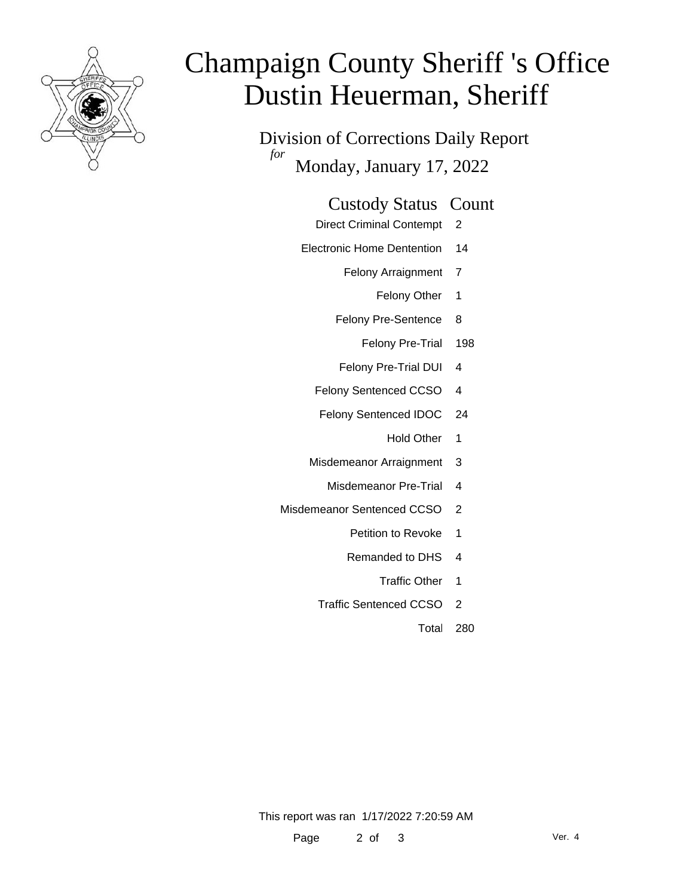

# Champaign County Sheriff 's Office Dustin Heuerman, Sheriff

Division of Corrections Daily Report *for* Monday, January 17, 2022

#### Custody Status Count

- Direct Criminal Contempt 2
- Electronic Home Dentention 14
	- Felony Arraignment 7
		- Felony Other 1
	- Felony Pre-Sentence 8
		- Felony Pre-Trial 198
	- Felony Pre-Trial DUI 4
	- Felony Sentenced CCSO 4
	- Felony Sentenced IDOC 24
		- Hold Other 1
	- Misdemeanor Arraignment 3
		- Misdemeanor Pre-Trial 4
- Misdemeanor Sentenced CCSO 2
	- Petition to Revoke 1
	- Remanded to DHS 4
		- Traffic Other 1
	- Traffic Sentenced CCSO 2
		- Total 280